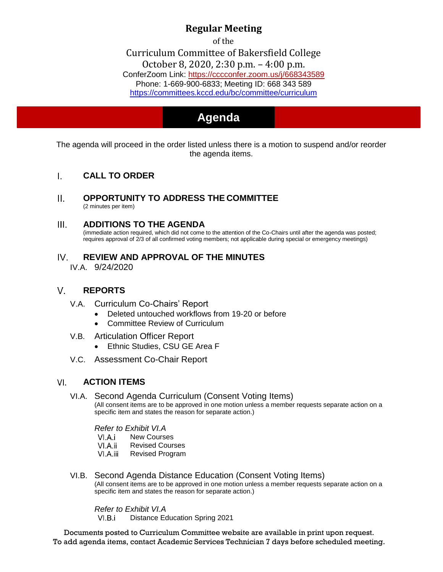## **Regular Meeting**

of the

Curriculum Committee of Bakersfield College [October 8, 2020,](https://cccconfer.zoom.us/j/668343589) 2:30 p.m. – 4:00 p.m. ConferZoom Link: https://cccconfer.zoom.us/j/668343589 [Phone: 1-669-900-6833; Meeting ID: 668 343 589](https://committees.kccd.edu/bc/committee/curriculum) <https://committees.kccd.edu/bc/committee/curriculum>

# **Agenda Agenda**

The agenda will proceed in the order listed unless there is a motion to suspend and/or reorder the agenda items.

### $\mathbf{L}$ **CALL TO ORDER**

 $II.$ **OPPORTUNITY TO ADDRESS THE COMMITTEE** (2 minutes per item)

### $III.$ **ADDITIONS TO THE AGENDA**

(immediate action required, which did not come to the attention of the Co-Chairs until after the agenda was posted; requires approval of 2/3 of all confirmed voting members; not applicable during special or emergency meetings)

IV. **REVIEW AND APPROVAL OF THE MINUTES** IV.A. 9/24/2020

### $V_{\cdot}$ **REPORTS**

- V.A. Curriculum Co-Chairs' Report
	- Deleted untouched workflows from 19-20 or before
	- Committee Review of Curriculum
- V.B. Articulation Officer Report
	- Ethnic Studies, CSU GE Area F
- V.C. Assessment Co-Chair Report

### **ACTION ITEMS** VI.

VI.A. Second Agenda Curriculum (Consent Voting Items) (All consent items are to be approved in one motion unless a member requests separate action on a specific item and states the reason for separate action.)

*Refer to Exhibit VI.A*

- VI.A.i New Courses
- VI.A.ii Revised Courses
- VI.A.iii Revised Program
- VI.B. Second Agenda Distance Education (Consent Voting Items) (All consent items are to be approved in one motion unless a member requests separate action on a specific item and states the reason for separate action.)

### *Refer to Exhibit VI.A*

 $VLB.i$ Distance Education Spring 2021

Documents posted to Curriculum Committee website are available in print upon request. To add agenda items, contact Academic Services Technician 7 days before scheduled meeting.